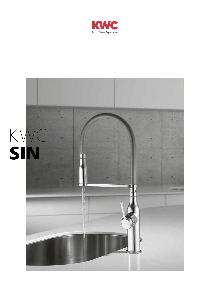

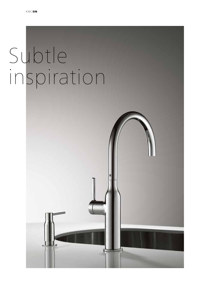# Subtle<br>inspiration

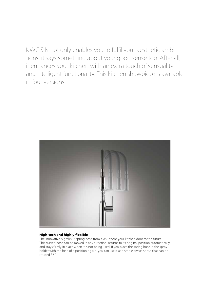KWC SIN not only enables you to fulfil your aesthetic ambitions; it says something about your good sense too. After all, it enhances your kitchen with an extra touch of sensuality and intelligent functionality. This kitchen showpiece is available in four versions.



# High-tech and highly flexible

The innovative highflex™ spring hose from KWC opens your kitchen door to the future. This curved hose can be moved in any direction, returns to its original position automatically and stays firmly in place when it is not being used. If you place the spring hose in the spray holder with the help of a positioning aid, you can use it as a stable swivel spout that can be rotated 360°.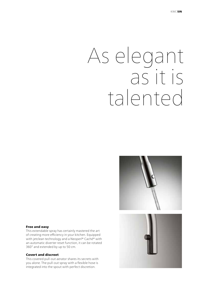# As elegant as it is talented



# Free and easy

This extendable spray has certainly mastered the art of creating more efficiency in your kitchen. Equipped with jetclean technology and a Neoperl® Caché® with an automatic diverter reset function, it can be rotated 360° and extended by up to 50 cm.

## Covert and discreet

This covered pull-out aerator shares its secrets with you alone. The pull-out spray with a flexible hose is integrated into the spout with perfect discretion.

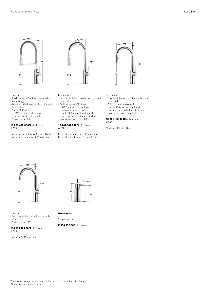



### Lever mixer

- KWC highflex™ patented spring hose technology
- Lever installation possible on the right or left side
- Spray 360° turn
- KWC jetclean technology
- automatic diverter reset
- Swivel spout 360°

### 10.261.432.000FL all chrome A 200

Flow rate normal spray 8 l/min (3 bar) Flow rate needle spray 6 l/min (3 bar)



- or left side
- Pull-out spray 360° turn – KWC jetclean technology
- automatic diverter reset
- up to 500 mm pull-out length
- hose surface to fit faucet surface
- Hose guide, swivelling 360°

### 10.261.002.000FL all chrome A 200

Flow rate normal spray 7 l/min (3 bar) Flow rate needle spray 6 l/min (3 bar)



### Lever mixer

- Lever installation possible on the right or left side
- Pull-out aerator covered
- up to 500 mm pull-out length – hose surface to fit faucet surface
- Hose guide, swivelling 360°

### 10.261.102.000FL all chrome A 200

Flow rate 8 l/min (3 bar)



### Lever mixer

- Lever installation possible on the right or left side
- Swivel spout 160°

### 10.261.012.000FL all chrome A 200

Flow rate 12 l/min (3 bar)



### Accessories

Soap dispenser

Z.536.332.000 all chrome